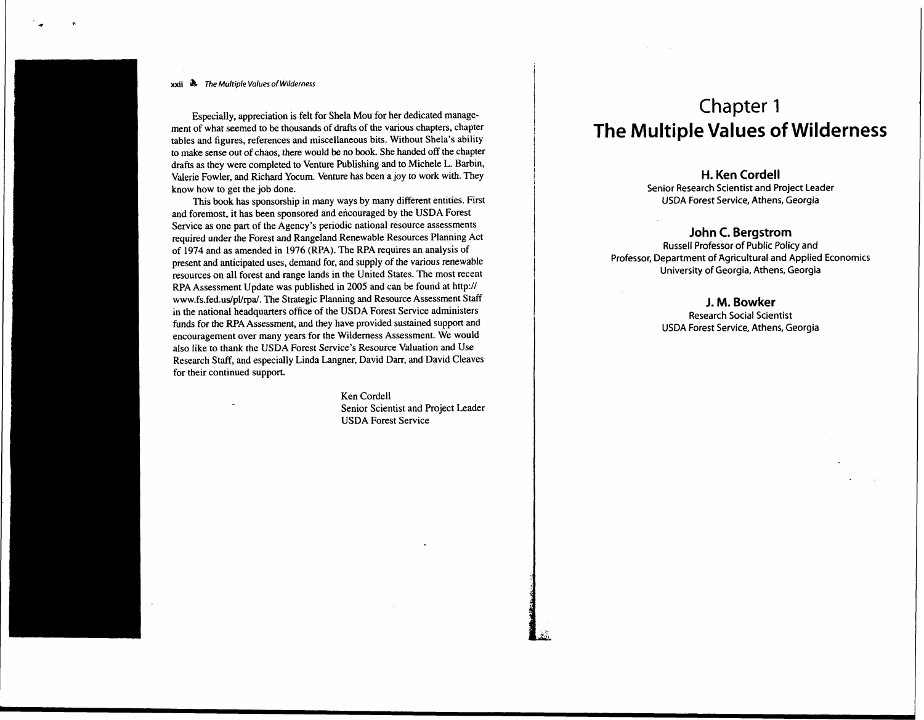#### **xxii** @ *The* **Multiple** *Values of Wilderness*

Especially, appreciation is felt for Shela Mou for her dedicated management of what seemed to be thousands of drafts of the various chapters, chapter tables and figures, references and miscellaneous bits. Without Shela's ability to make sense out of chaos, there would be no book. She handed off the chapter drafts as they were completed to Venture Publishing and to Michele L. Barbin, Valerie Fowler, and Richard Yocum. Venture has been a joy to work with. They know how to get the job done.

This **book** has sponsorship in many ways by many different entities. First and foremost, it has been sponsored and encouraged by the USDA Forest Service as one part of the Agency's periodic national resource assessments required under the Forest and Rangeland Renewable Resources Planning Act of 1974 and as amended in 1976 (RPA). The RPA requires an analysis of present and anticipated uses, demand for, and supply of the various renewable resources on all forest and range lands in the United States. The most recent RPA Assessment Update was published in 2005 and can be found at http:// www.fs.fed.us/pUrpa/. The Strategic Planning and Resource Assessment Staff in the national headquarters office of the USDA Forest Service administers funds for the RPA Assessment, and they have provided sustained support and encouragement over many years for the Wilderness Assessment. We would also like to thank the USDA Forest Service's Resource Valuation and Use Research Staff, and especially Linda Langner, David **Darr,** and David Cleaves for their continued support.

> Ken Cordell Senior Scientist and Project Leader USDA Forest Service

# Chapter **1 The Multiple Values of Wilderness**

#### **H. Ken Cordell**

**Senior Research Scientist and Project Leader USDA Forest Service, Athens, Georgia** 

### **John C. Bergstrom**

**Russell Professor of Public Policy and Professor, Department of Agricultural and Applied Economics University of Georgia, Athens, Georgia** 

### **J. M. Bowker**

**Research Social Scientist USDA Forest Service, Athens, Georgia**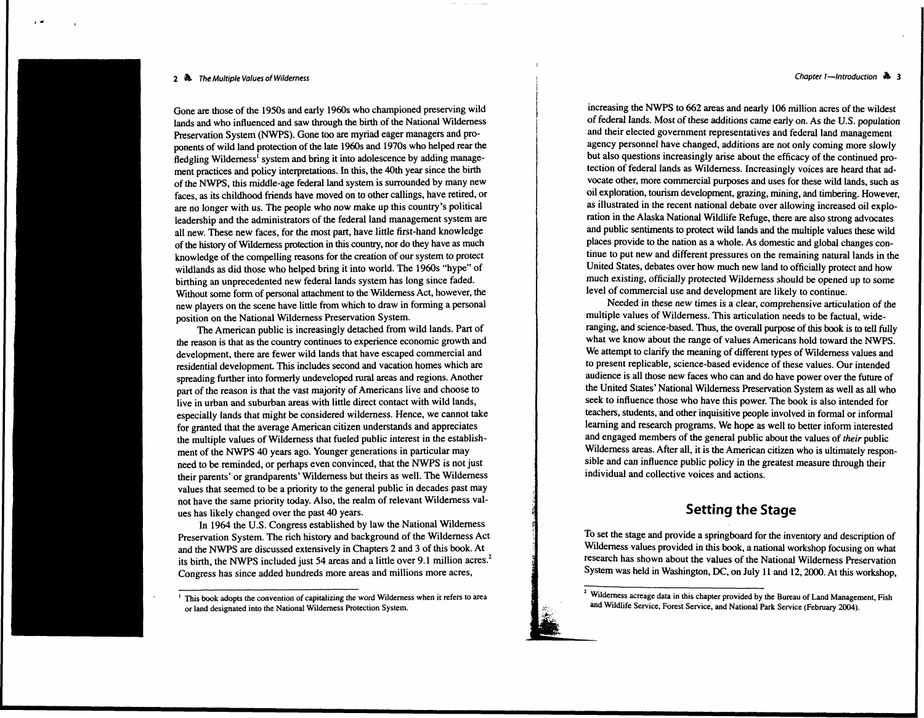#### **2** @ **The Multiple Values of Wilderness**

Gone are those of the 1950s and early 1960s who championed preserving wild lands and who influenced and saw through the birth of the National Wilderness Preservation System (NWPS). Gone too are myriad eager managers and proponents of wild land protection of the late 1960s and 1970s who helped rear the fledgling Wilderness<sup>1</sup> system and bring it into adolescence by adding management practices and policy interpretations. In this, the 40th year since the birth of the NWPS, this middle-age federal land system is surrounded by many new faces, as its childhood friends have moved on to other callings, have retired, or are no longer with us. The people who now make up this country's political leadership and the administrators of the federal land management system are all new. These new faces, for the most part, have little first-hand knowledge of the history of Wilderness protection in this country, nor do they have as much knowledge of the compelling reasons for the creation of our system to protect wildlands as did those who helped bring it into world. The 1960s "hype" of birthing an unprecedented new federal lands system has long since faded. Without some form of personal attachment to the Wilderness Act, however, the new players on the scene have little from which to draw in forming a personal position on the National Wilderness Preservation System.

The American public is increasingly detached from wild lands. Part of the reason is that as the country continues to experience economic growth and development, there are fewer wild lands that have escaped commercial and residential development. This includes second and vacation homes which are spreading further into formerly undeveloped rural areas and regions. Another part of the reason is that the vast majority of Americans live and choose to live in urban and suburban areas with little direct contact with wild lands, especially lands that might be considered wilderness. Hence, we cannot take for granted that the average American citizen understands and appreciates the multiple values of Wilderness that fueled public interest in the establishment of the NWPS 40 years ago. Younger generations in particular may need to be reminded, or perhaps even convinced, that the NWPS is not just their parents' or grandparents' Wilderness but theirs as well. The Wilderness values that seemed to be a priority to the general public in decades past may not have the same priority today. Also, the realm of relevant Wilderness values has likely changed over the past 40 years.

In 1964 the U.S. Congress established by law the National Wilderness Preservation System. The rich history and background of the Wilderness Act and the NWPS are discussed extensively in Chapters 2 and 3 of this book. At its birth, the NWPS included just 54 areas and a little over 9.1 million acres.<sup>2</sup> Congress has since added hundreds more areas and millions more acres,

increasing the **NWPS** to 662 areas and nearly 106 million acres of the wildest of federal lands. Most of these additions came early on. As the U.S. population and their elected government representatives and federal land management agency personnel have changed, additions are not only coming more slowly but also questions increasingly arise about the efficacy of the continued protection of federal lands as Wilderness. Increasingly voices are heard that advocate other, more commercial purposes and uses for these wild lands, such as oil exploration, tourism development, grazing, mining, and timbering. However, as illustrated in the recent national debate over allowing increased oil exploration in the Alaska National Wildlife Refuge, there are also strong advocates and public sentiments to protect wild lands and the multiple values these wild places provide to the nation as a whole. As domestic and global changes continue to put new and different pressures on the remaining natural lands in the United States, debates over how much new land to officially protect and how much existing, officially protected Wilderness should be opened up to some level of commercial use and development are likely to continue.

Needed in these new times is a clear, comprehensive articulation of the multiple values of Wilderness. This articulation needs to be factual, wideranging, and science-based. Thus, the overall purpose of this book is to tell fully what we know about the range of values Americans hold toward the NWPS. We attempt to clarify the meaning of different types of Wilderness values and to present replicable, science-based evidence of these values. Our intended audience is all those new faces who can and do have power over the future of the United States' National Wilderness Preservation System as well as all who seek to influence those who have this power. The book is also intended for teachers, students, and other inquisitive people involved in formal or informal learning and research programs. We hope as well to better inform interested and engaged members of the general public about the values of their public Wilderness areas. After all, it is the American citizen who is ultimately responsible and can influence public policy in the greatest measure through their individual and collective voices and actions.

### **Setting the Stage**

I

To set the stage and provide a springboard for the inventory and description of Wilderness values provided in this book, a national workshop focusing on what research has shown about the values of the National Wilderness Preservation System was held in Washington, DC, on July 11 and 12, 2000. At this workshop,

#### **Chapter 1-Introduction**  $\rightarrow$  **3**

<sup>&</sup>lt;sup>1</sup> This book adopts the convention of capitalizing the word Wilderness when it refers to area **or land designated into the National Wilderness Protection System.** 

<sup>&#</sup>x27; **Wilderness acreage data in this chapter provided by the Bureau of Land Management. Fish and Wildlife Service, Forest Service, and National Park Service (February 2004).**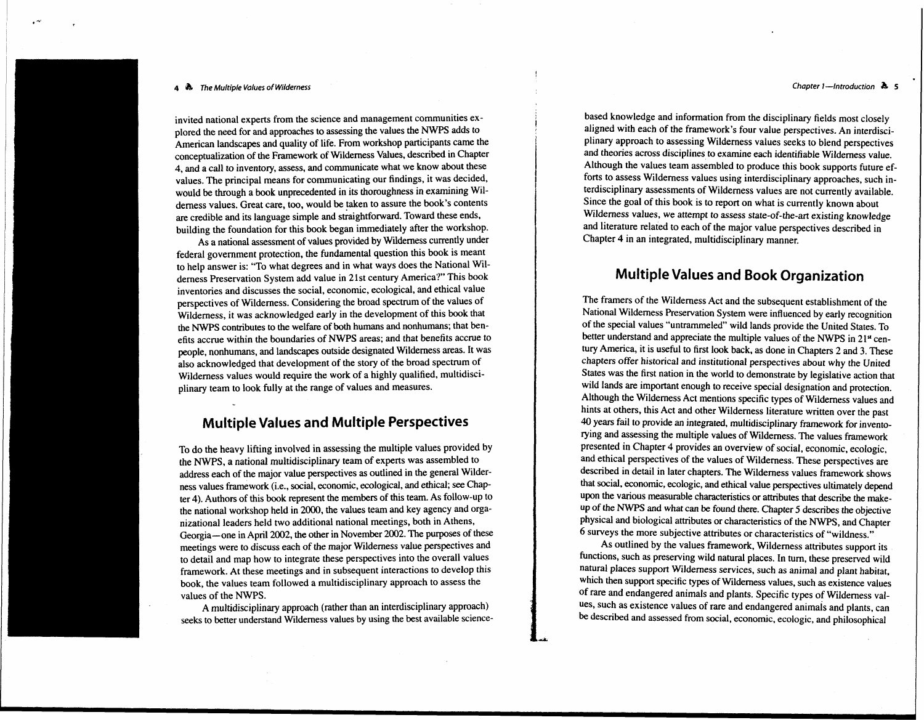#### **<sup>4</sup>The Multiple Values of Wilderness Chapter I-Introduction b <sup>5</sup>**

invited national experts from the science and management communities explored the need for and approaches to assessing the values the NWPS adds to American landscapes and quality of life. From workshop participants came the conceptualization of the Framework of Wilderness Values, described in Chapter 4, and a call to inventory, assess, and communicate what we know about these values. The principal means for communicating our findings, it was decided, would be through a book unprecedented in its thoroughness in examining Wilderness values. Great care, too, would be taken to assure the book's contents are credible and its language simple and straightforward. Toward these ends, building the foundation for this book began immediately after the workshop.

As a national assessment of values provided by Wilderness currently under federal government protection, the fundamental question this book is meant to help answer is: "To what degrees and in what ways does the National Wilderness Preservation System add value in 21st century America?" This book inventories and discusses the social, economic, ecological, and ethical value perspectives of Wilderness. Considering the broad spectrum of the values of Wilderness, it was acknowledged early in the development of this book that the NWPS contributes to the welfare of both humans and nonhumans; that benefits accrue within the boundaries of NWPS areas; and that benefits accrue to people, nonhumans, and landscapes outside designated Wilderness areas. It was also acknowledged that development of the story of the broad spectrum of Wilderness values would require the work of a highly qualified, multidisciplinary team to look fully at the range of values and measures.

### **Multiple Values and Multiple Perspectives**

To do the heavy lifting involved in assessing the multiple values provided by the NWPS, a national multidisciplinary team of experts was assembled to address each of the major value perspectives as outlined in the general Wilderness values framework (i.e., social, economic, ecological, and ethical; see Chap ter 4). Authors of this book represent the members of this team. As follow-up to the national workshop held in 2000, the values team and key agency and organizational leaders held two additional national meetings, both in Athens, Georgia-one in April 2002, the other in November 2002. The purposes of these meetings were to discuss each of the major Wilderness value perspectives and to detail and map how to integrate these perspectives into the overall values framework. At these meetings and in subsequent interactions to develop this book, the values team followed a multidisciplinary approach to assess the values of the NWPS.

A multidisciplinary approach (rather than an interdisciplinary approach) seeks to better understand Wilderness values by using the best available science-

based knowledge and information from the disciplinary fields most closely aligned with each of the framework's four value perspectives. An interdisciplinary approach to assessing Wilderness values seeks to blend perspectives plinary approach to assessing Wilderness values seeks to blend perspectives and theories across disciplines to examine each identifiable Wilderness value.<br>Although the values team assembled to produce this book supports fu and theories across disciplines to examine each identifiable Wilderness value. Although the values team assembled to produce this book supports future ef-**<sup>I</sup>**terdisciplinary assessments of Wilderness values are not currently available. Since the goal of this book is to report on what is currently known about Wilderness values, we attempt to assess state-of-the-art existing knowledge and literature related to each of the major value perspectives described in Chapter 4 in an integrated, multidisciplinary manner.

## **Multiple Values and Book Organization**

The framers of the Wilderness Act and the subsequent establishment of the National Wilderness Preservation System were influenced by early recognition of the special values "untrammeled" wild lands provide the United States. To better understand and appreciate the multiple values of the NWPS in 21<sup>st</sup> century America, it is useful to first look back, as done in Chapters 2 and 3. These chapters offer historical and institutional perspectives about why the United States was the first nation in the world to demonstrate by legislative action that wild lands are important enough to receive special designation and protection. Although the Wilderness Act mentions specific types of Wilderness values and hints at others, this Act and other Wilderness literature written over the past 40 years fail to provide an integrated, multidisciplinary framework for inventorying and assessing the multiple values of Wilderness. The values framework presented in Chapter 4 provides an overview of social, economic, ecologic, and ethical perspectives of the values of Wilderness. These perspectives are described in detail in later chapters. The Wilderness values framework shows that social. economic, ecologic, and ethical value perspectives ultimately depend upon the various measurable characteristics or attributes that describe the makeup of the NWPS and what can be found there. Chapter 5 describes the objective physical and biological attributes or characteristics of the NWPS, and Chapter 6 surveys the more subjective attributes or characteristics of "wildness."

As outlined by the values framework, Wilderness attributes support its functions, such as preserving wild natural places. In turn, these preserved wild natural places support Wilderness services, such as animal and plant habitat, which then support specific types of Wilderness values, such as existence values of rare and endangered animals and plants. Specific types of Wilderness values, such as existence values of rare and endangered animals and plants, can **be** described and assessed from social, economic. ecologic, and philosophical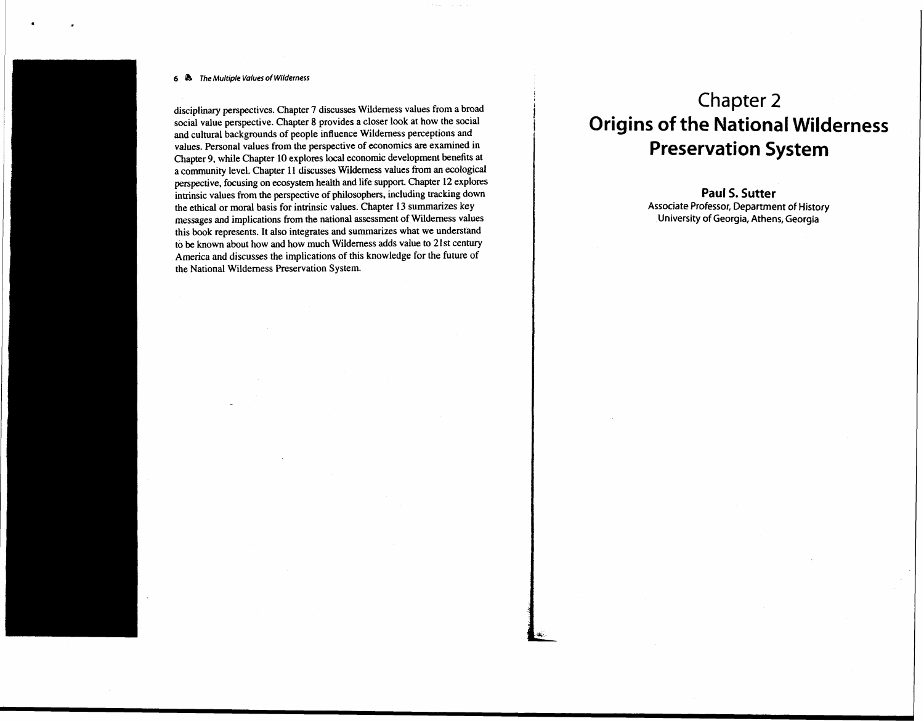### **<sup>6</sup>**& **The Multiple Values of Wilderness**

disciplinary perspectives. Chapter 7 discusses Wilderness values from a broad social value perspective. Chapter 8 provides a closer look at how the social and cuitural backgrounds of people influence Wilderness perceptions and values. Personal values from the perspective of economics are examined in Chapter 9, while Chapter 10 explores local economic development benefits at a community level. Chapter **11** discusses Wilderness values from **an** ecological perspective, focusing on ecosystem health and life support. Chapter 12 explores intrinsic values from the perspective of philosophers, including tracking down the ethical or moral basis for intinsic values. Chapter 13 summarizes key messages and implications from the national assessment of Wilderness values this book represents. It also integrates and summarizes what we understand to be known about how and how much Wilderness adds value to 2 1st century America and discusses the implications of this knowledge for the future of the National Wilderness Preservation System.

# Chapter 2 **Origins of the National Wilderness Preservation System**

**Paul S. Sutter Associate Professor, Department of History University of Georgia, Athens, Georgia**